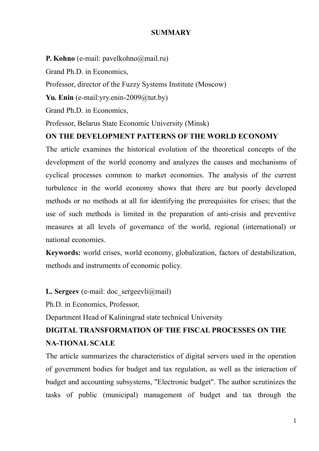#### **SUMMARY**

**P. Kohno** (e-mail: pavelkohno@mail.ru)

Grand Ph.D. in Economics,

Professor, director of the Fuzzy Systems Institute (Moscow)

Yu. Enin (e-mail:yry.enin-2009@tut.by)

Grand Ph.D. in Economics,

Professor, Belarus State Economic University (Minsk)

#### **ON THE DEVELOPMENT PATTERNS OF THE WORLD ECONOMY**

The article examines the historical evolution of the theoretical concepts of the development of the world economy and analyzes the causes and mechanisms of cyclical processes common to market economies. The analysis of the current turbulence in the world economy shows that there are but poorly developed methods or no methods at all for identifying the prerequisites for crises; that the use of such methods is limited in the preparation of anti-crisis and preventive measures at all levels of governance of the world, regional (international) or national economies.

**Keywords:** world crises, world economy, globalization, factors of destabilization, methods and instruments of economic policy.

**L. Sergeev** (e-mail: doc sergeevli@mail)

Ph.D. in Economics, Professor,

Department Head of Kaliningrad state technical University

# **DIGITAL TRANSFORMATION OF THE FISCAL PROCESSES ON THE NA-TIONAL SCALE**

The article summarizes the characteristics of digital servers used in the operation of government bodies for budget and tax regulation, as well as the interaction of budget and accounting subsystems, "Electronic budget". The author scrutinizes the tasks of public (municipal) management of budget and tax through the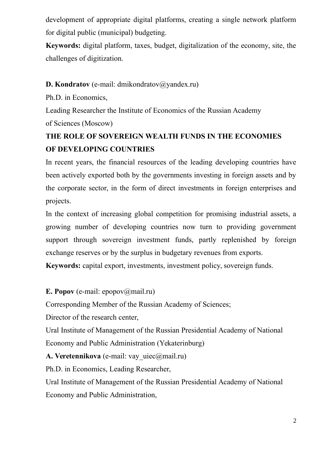development of appropriate digital platforms, creating a single network platform for digital public (municipal) budgeting.

**Keywords:** digital platform, taxes, budget, digitalization of the economy, site, the challenges of digitization.

#### **D. Kondratov** (e-mail: dmikondratov@yandex.ru)

Ph.D. in Economics,

Leading Researcher the Institute of Economics of the Russian Academy

of Sciences (Moscow)

## **THE ROLE OF SOVEREIGN WEALTH FUNDS IN THE ECONOMIES OF DEVELOPING COUNTRIES**

In recent years, the financial resources of the leading developing countries have been actively exported both by the governments investing in foreign assets and by the corporate sector, in the form of direct investments in foreign enterprises and projects.

In the context of increasing global competition for promising industrial assets, a growing number of developing countries now turn to providing government support through sovereign investment funds, partly replenished by foreign exchange reserves or by the surplus in budgetary revenues from exports.

**Keywords:** capital export, investments, investment policy, sovereign funds.

**E. Popov** (e-mail: epopov@mail.ru)

Corresponding Member of the Russian Academy of Sciences;

Director of the research center,

Ural Institute of Management of the Russian Presidential Academy of National Economy and Public Administration (Yekaterinburg)

A. Veretennikova (e-mail: vay\_uiec@mail.ru)

Ph.D. in Economics, Leading Researcher,

Ural Institute of Management of the Russian Presidential Academy of National Economy and Public Administration,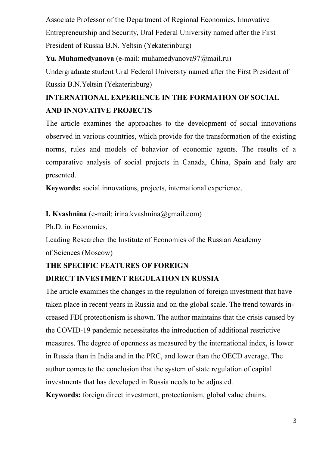Associate Professor of the Department of Regional Economics, Innovative Entrepreneurship and Security, Ural Federal University named after the First President of Russia B.N. Yeltsin (Yekaterinburg)

**Yu. Muhamedyanova** (e-mail: muhamedyanova97@mail.ru)

Undergraduate student Ural Federal University named after the First President of Russia B.N.Yeltsin (Yekaterinburg)

# **INTERNATIONAL EXPERIENCE IN THE FORMATION OF SOCIAL AND INNOVATIVE PROJECTS**

The article examines the approaches to the development of social innovations observed in various countries, which provide for the transformation of the existing norms, rules and models of behavior of economic agents. The results of a comparative analysis of social projects in Canada, China, Spain and Italy are presented.

**Keywords:** social innovations, projects, international experience.

**I. Kvashnina** (e-mail: irina.kvashnina@gmail.com)

Ph.D. in Economics,

Leading Researcher the Institute of Economics of the Russian Academy of Sciences (Moscow)

#### **THE SPECIFIC FEATURES OF FOREIGN**

#### **DIRECT INVESTMENT REGULATION IN RUSSIA**

The article examines the changes in the regulation of foreign investment that have taken place in recent years in Russia and on the global scale. The trend towards increased FDI protectionism is shown. The author maintains that the crisis caused by the COVID-19 pandemic necessitates the introduction of additional restrictive measures. The degree of openness as measured by the international index, is lower in Russia than in India and in the PRC, and lower than the OECD average. The author comes to the conclusion that the system of state regulation of capital investments that has developed in Russia needs to be adjusted.

**Keywords:** foreign direct investment, protectionism, global value chains.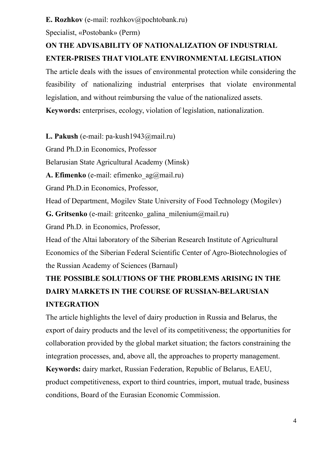#### **E. Rozhkov** (e-mail: rozhkov@pochtobank.ru)

Specialist, «Postobank» (Perm)

### **ON THE ADVISABILITY OF NATIONALIZATION OF INDUSTRIAL ENTER-PRISES THAT VIOLATE ENVIRONMENTAL LEGISLATION**

The article deals with the issues of environmental protection while considering the feasibility of nationalizing industrial enterprises that violate environmental legislation, and without reimbursing the value of the nationalized assets.

**Keywords:** enterprises, ecology, violation of legislation, nationalization.

**L. Pakush** (e-mail: pa-kush1943@mail.ru)

Grand Ph.D.in Economics, Professor

Belarusian State Agricultural Academy (Minsk)

**A. Efimenko** (e-mail: efimenko\_ag@mail.ru)

Grand Ph.D.in Economics, Professor,

Head of Department, Mogilev State University of Food Technology (Mogilev)

**G. Gritsenko** (e-mail: gritcenko\_galina\_milenium@mail.ru)

Grand Ph.D. in Economics, Professor,

Head of the Altai laboratory of the Siberian Research Institute of Agricultural Economics of the Siberian Federal Scientific Center of Agro-Biotechnologies of the Russian Academy of Sciences (Barnaul)

# **THE POSSIBLE SOLUTIONS OF THE PROBLEMS ARISING IN THE DAIRY MARKETS IN THE COURSE OF RUSSIAN-BELARUSIAN INTEGRATION**

The article highlights the level of dairy production in Russia and Belarus, the export of dairy products and the level of its competitiveness; the opportunities for collaboration provided by the global market situation; the factors constraining the integration processes, and, above all, the approaches to property management. **Keywords:** dairy market, Russian Federation, Republic of Belarus, EAEU, product competitiveness, export to third countries, import, mutual trade, business conditions, Board of the Eurasian Economic Commission.